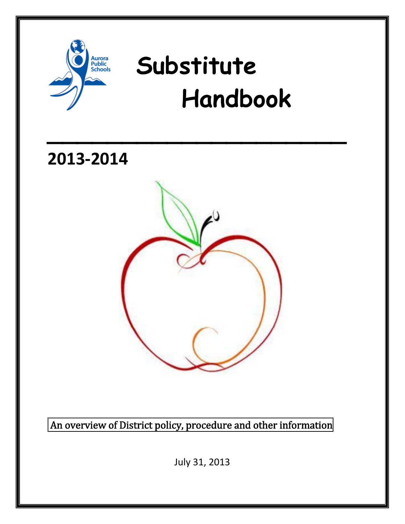

# **Substitute Handbook**

 $\mathcal{L}=\mathcal{L}^{\mathcal{L}}$  , where  $\mathcal{L}^{\mathcal{L}}$  , we have  $\mathcal{L}^{\mathcal{L}}$  , we have  $\mathcal{L}^{\mathcal{L}}$ 

**2013‐2014**



An overview of District policy, procedure and other information

July 31, 2013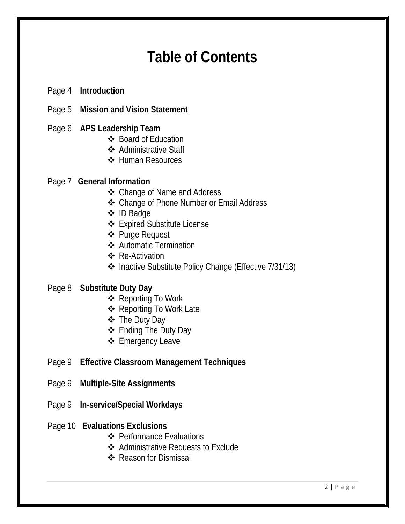## **Table of Contents**

- Page 4 **Introduction**
- Page 5 **Mission and Vision Statement**
- Page 6 **APS Leadership Team**
	- ❖ Board of Education
	- **❖** Administrative Staff
	- **❖ Human Resources**

#### Page 7 **General Information**

- Change of Name and Address
- ❖ Change of Phone Number or Email Address
- ID Badge
- Expired Substitute License
- Purge Request
- Automatic Termination
- ❖ Re-Activation
- ◆ Inactive Substitute Policy Change (Effective 7/31/13)

#### Page 8 **Substitute Duty Day**

- **❖ Reporting To Work**
- **❖ Reporting To Work Late**
- The Duty Day
- Ending The Duty Day
- **❖** Emergency Leave
- Page 9 **Effective Classroom Management Techniques**
- Page 9 **Multiple-Site Assignments**
- Page 9 **In-service/Special Workdays**

#### Page 10 **Evaluations Exclusions**

- ❖ Performance Evaluations
- **❖** Administrative Requests to Exclude
- ❖ Reason for Dismissal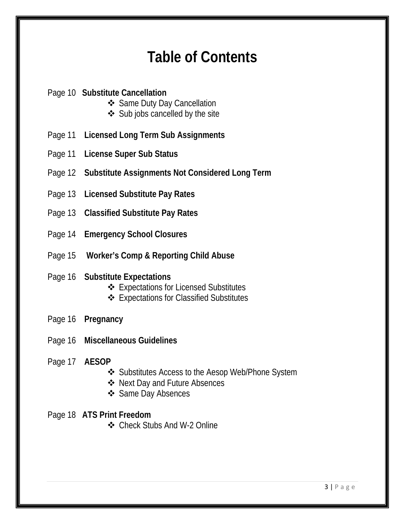### **Table of Contents**

#### Page 10 **Substitute Cancellation**

- Same Duty Day Cancellation
- $\triangleleft$  Sub jobs cancelled by the site
- Page 11 **Licensed Long Term Sub Assignments**
- Page 11 **License Super Sub Status**
- Page 12 **Substitute Assignments Not Considered Long Term**
- Page 13 **Licensed Substitute Pay Rates**
- Page 13 **Classified Substitute Pay Rates**
- Page 14 **Emergency School Closures**
- Page 15 **Worker's Comp & Reporting Child Abuse**

#### Page 16 **Substitute Expectations**

- Expectations for Licensed Substitutes
- Expectations for Classified Substitutes
- Page 16 **Pregnancy**
- Page 16 **Miscellaneous Guidelines**
- Page 17 **AESOP**
	- ❖ Substitutes Access to the Aesop Web/Phone System
	- ❖ Next Day and Future Absences
	- ❖ Same Day Absences

#### Page 18 **ATS Print Freedom**

Check Stubs And W-2 Online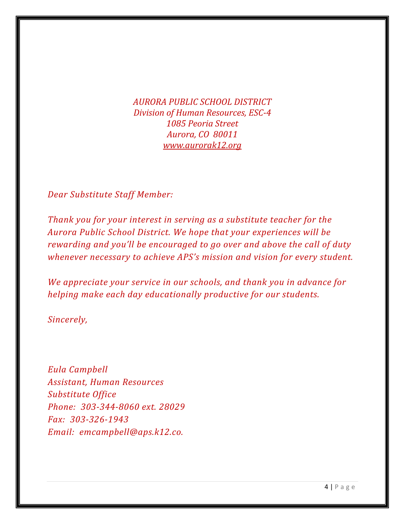*AURORA PUBLIC SCHOOL DISTRICT Division of Human Resources, ESC4 1085 Peoria Street Aurora, CO 80011 [www.aurorak12.org](http://www.aurorak12.org/)*

*Dear Substitute Staff Member:*

*Thank you for your interest in serving as a substitute teacher for the Aurora Public School District. We hope that your experiences will be rewarding and you'll be encouraged to go over and above the call of duty whenever necessary to achieve APS's mission and vision for every student.*

*We appreciate your service in our schools, and thank you in advance for helping make each day educationally productive for our students.*

*Sincerely,*

*Eula Campbell Assistant, Human Resources Substitute Office Phone: 3033448060 ext. 28029 Email: emcampbell@aps.k12.co. Fax: 3033261943*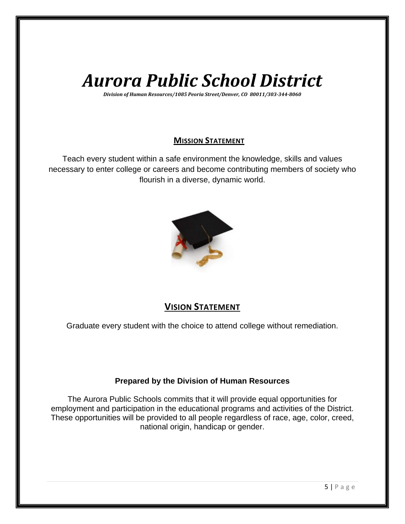# *Aurora Public School District*

*Division of Human Resources/1085 Peoria Street/Denver, CO 80011/3033448060*

#### **MISSION STATEMENT**

Teach every student within a safe environment the knowledge, skills and values necessary to enter college or careers and become contributing members of society who flourish in a diverse, dynamic world.



#### **VISION STATEMENT**

Graduate every student with the choice to attend college without remediation.

#### **Prepared by the Division of Human Resources**

The Aurora Public Schools commits that it will provide equal opportunities for employment and participation in the educational programs and activities of the District. These opportunities will be provided to all people regardless of race, age, color, creed, national origin, handicap or gender.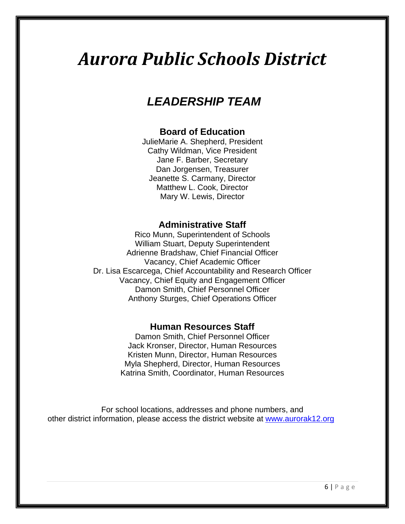# *Aurora Public Schools District*

### *LEADERSHIP TEAM*

#### **Board of Education**

JulieMarie A. Shepherd, President Cathy Wildman, Vice President Jane F. Barber, Secretary Dan Jorgensen, Treasurer Jeanette S. Carmany, Director Matthew L. Cook, Director Mary W. Lewis, Director

#### **Administrative Staff**

Rico Munn, Superintendent of Schools William Stuart, Deputy Superintendent Adrienne Bradshaw, Chief Financial Officer Vacancy, Chief Academic Officer Dr. Lisa Escarcega, Chief Accountability and Research Officer Vacancy, Chief Equity and Engagement Officer Damon Smith, Chief Personnel Officer Anthony Sturges, Chief Operations Officer

#### **Human Resources Staff**

Damon Smith, Chief Personnel Officer Jack Kronser, Director, Human Resources Kristen Munn, Director, Human Resources Myla Shepherd, Director, Human Resources Katrina Smith, Coordinator, Human Resources

For school locations, addresses and phone numbers, and other district information, please access the district website at [www.aurorak12.org](http://www.aurorak12.org/)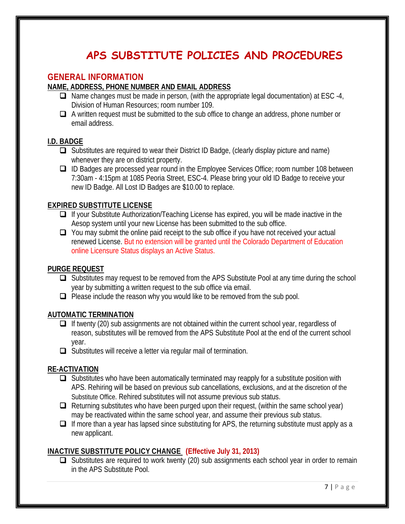### **APS SUBSTITUTE POLICIES AND PROCEDURES**

#### **GENERAL INFORMATION**

#### **NAME, ADDRESS, PHONE NUMBER AND EMAIL ADDRESS**

- $\Box$  Name changes must be made in person, (with the appropriate legal documentation) at ESC -4, Division of Human Resources; room number 109.
- $\Box$  A written request must be submitted to the sub office to change an address, phone number or email address.

#### **I.D. BADGE**

- $\Box$  Substitutes are required to wear their District ID Badge, (clearly display picture and name) whenever they are on district property.
- ID Badges are processed year round in the Employee Services Office; room number 108 between 7:30am - 4:15pm at 1085 Peoria Street, ESC-4. Please bring your old ID Badge to receive your new ID Badge. All Lost ID Badges are \$10.00 to replace.

#### **EXPIRED SUBSTITUTE LICENSE**

- $\Box$  If your Substitute Authorization/Teaching License has expired, you will be made inactive in the Aesop system until your new License has been submitted to the sub office.
- $\Box$  You may submit the online paid receipt to the sub office if you have not received your actual renewed License. But no extension will be granted until the Colorado Department of Education online Licensure Status displays an Active Status.

#### **PURGE REQUEST**

- **□** Substitutes may request to be removed from the APS Substitute Pool at any time during the school year by submitting a written request to the sub office via email.
- $\Box$  Please include the reason why you would like to be removed from the sub pool.

#### **AUTOMATIC TERMINATION**

- $\Box$  If twenty (20) sub assignments are not obtained within the current school year, regardless of reason, substitutes will be removed from the APS Substitute Pool at the end of the current school year.
- $\Box$  Substitutes will receive a letter via regular mail of termination.

#### **RE-ACTIVATION**

- $\Box$  Substitutes who have been automatically terminated may reapply for a substitute position with APS. Rehiring will be based on previous sub cancellations, exclusions, and at the discretion of the Substitute Office. Rehired substitutes will not assume previous sub status.
- $\Box$  Returning substitutes who have been purged upon their request, (within the same school year) may be reactivated within the same school year, and assume their previous sub status.
- $\Box$  If more than a year has lapsed since substituting for APS, the returning substitute must apply as a new applicant.

#### **INACTIVE SUBSTITUTE POLICY CHANGE (Effective July 31, 2013)**

 $\Box$  Substitutes are required to work twenty (20) sub assignments each school year in order to remain in the APS Substitute Pool.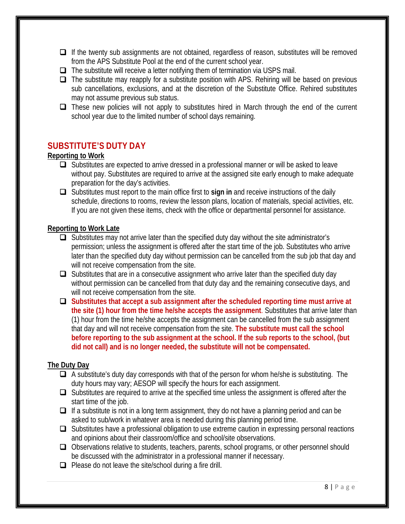- $\Box$  If the twenty sub assignments are not obtained, regardless of reason, substitutes will be removed from the APS Substitute Pool at the end of the current school year.
- $\Box$  The substitute will receive a letter notifying them of termination via USPS mail.
- $\Box$  The substitute may reapply for a substitute position with APS. Rehiring will be based on previous sub cancellations, exclusions, and at the discretion of the Substitute Office. Rehired substitutes may not assume previous sub status.
- $\Box$  These new policies will not apply to substitutes hired in March through the end of the current school year due to the limited number of school days remaining.

#### **SUBSTITUTE'S DUTY DAY**

#### **Reporting to Work**

- $\Box$  Substitutes are expected to arrive dressed in a professional manner or will be asked to leave without pay. Substitutes are required to arrive at the assigned site early enough to make adequate preparation for the day's activities.
- Substitutes must report to the main office first to **sign in** and receive instructions of the daily schedule, directions to rooms, review the lesson plans, location of materials, special activities, etc. If you are not given these items, check with the office or departmental personnel for assistance.

#### **Reporting to Work Late**

- $\Box$  Substitutes may not arrive later than the specified duty day without the site administrator's permission; unless the assignment is offered after the start time of the job. Substitutes who arrive later than the specified duty day without permission can be cancelled from the sub job that day and will not receive compensation from the site.
- $\Box$  Substitutes that are in a consecutive assignment who arrive later than the specified duty day without permission can be cancelled from that duty day and the remaining consecutive days, and will not receive compensation from the site.
- **Substitutes that accept a sub assignment after the scheduled reporting time must arrive at the site (1) hour from the time he/she accepts the assignment**. Substitutes that arrive later than (1) hour from the time he/she accepts the assignment can be cancelled from the sub assignment that day and will not receive compensation from the site. **The substitute must call the school before reporting to the sub assignment at the school. If the sub reports to the school, (but did not call) and is no longer needed, the substitute will not be compensated.**

#### **The Duty Day**

- $\Box$  A substitute's duty day corresponds with that of the person for whom he/she is substituting. The duty hours may vary; AESOP will specify the hours for each assignment.
- $\Box$  Substitutes are required to arrive at the specified time unless the assignment is offered after the start time of the job.
- $\Box$  If a substitute is not in a long term assignment, they do not have a planning period and can be asked to sub/work in whatever area is needed during this planning period time.
- $\Box$  Substitutes have a professional obligation to use extreme caution in expressing personal reactions and opinions about their classroom/office and school/site observations.
- □ Observations relative to students, teachers, parents, school programs, or other personnel should be discussed with the administrator in a professional manner if necessary.
- $\Box$  Please do not leave the site/school during a fire drill.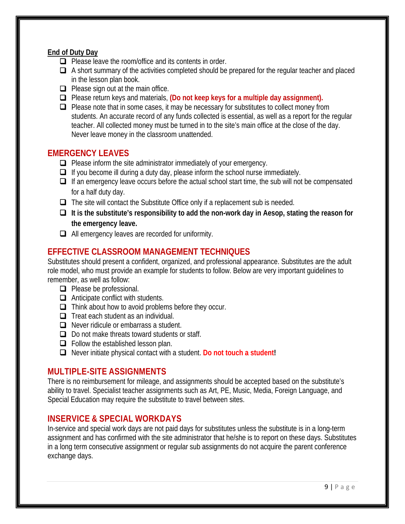#### **End of Duty Day**

- $\Box$  Please leave the room/office and its contents in order.
- $\Box$  A short summary of the activities completed should be prepared for the regular teacher and placed in the lesson plan book.
- $\Box$  Please sign out at the main office.
- Please return keys and materials, **(Do not keep keys for a multiple day assignment).**
- $\Box$  Please note that in some cases, it may be necessary for substitutes to collect money from students. An accurate record of any funds collected is essential, as well as a report for the regular teacher. All collected money must be turned in to the site's main office at the close of the day. Never leave money in the classroom unattended.

#### **EMERGENCY LEAVES**

- $\Box$  Please inform the site administrator immediately of your emergency.
- $\Box$  If you become ill during a duty day, please inform the school nurse immediately.
- $\Box$  If an emergency leave occurs before the actual school start time, the sub will not be compensated for a half duty day.
- The site will contact the Substitute Office only if a replacement sub is needed.
- **It is the substitute's responsibility to add the non-work day in Aesop, stating the reason for the emergency leave.**
- $\Box$  All emergency leaves are recorded for uniformity.

#### **EFFECTIVE CLASSROOM MANAGEMENT TECHNIQUES**

Substitutes should present a confident, organized, and professional appearance. Substitutes are the adult role model, who must provide an example for students to follow. Below are very important guidelines to remember, as well as follow:

- $\Box$  Please be professional.
- $\Box$  Anticipate conflict with students.
- $\Box$  Think about how to avoid problems before they occur.
- $\Box$  Treat each student as an individual.
- Never ridicule or embarrass a student.
- $\Box$  Do not make threats toward students or staff.
- $\Box$  Follow the established lesson plan.
- Never initiate physical contact with a student. **Do not touch a student!**

#### **MULTIPLE-SITE ASSIGNMENTS**

There is no reimbursement for mileage, and assignments should be accepted based on the substitute's ability to travel. Specialist teacher assignments such as Art, PE, Music, Media, Foreign Language, and Special Education may require the substitute to travel between sites.

#### **INSERVICE & SPECIAL WORKDAYS**

In-service and special work days are not paid days for substitutes unless the substitute is in a long-term assignment and has confirmed with the site administrator that he/she is to report on these days. Substitutes in a long term consecutive assignment or regular sub assignments do not acquire the parent conference exchange days.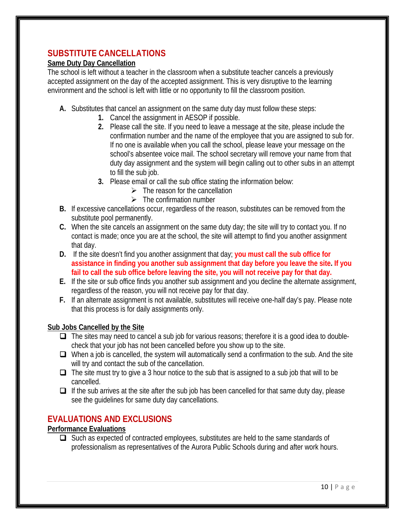#### **SUBSTITUTE CANCELLATIONS**

#### **Same Duty Day Cancellation**

The school is left without a teacher in the classroom when a substitute teacher cancels a previously accepted assignment on the day of the accepted assignment. This is very disruptive to the learning environment and the school is left with little or no opportunity to fill the classroom position.

- **A.** Substitutes that cancel an assignment on the same duty day must follow these steps:
	- **1.** Cancel the assignment in AESOP if possible.
	- **2.** Please call the site. If you need to leave a message at the site, please include the confirmation number and the name of the employee that you are assigned to sub for. If no one is available when you call the school, please leave your message on the school's absentee voice mail. The school secretary will remove your name from that duty day assignment and the system will begin calling out to other subs in an attempt to fill the sub job.
	- **3.** Please email or call the sub office stating the information below:
		- $\triangleright$  The reason for the cancellation
		- $\triangleright$  The confirmation number
- **B.** If excessive cancellations occur, regardless of the reason, substitutes can be removed from the substitute pool permanently.
- **C.** When the site cancels an assignment on the same duty day; the site will try to contact you. If no contact is made; once you are at the school, the site will attempt to find you another assignment that day.
- **D.** If the site doesn't find you another assignment that day; **you must call the sub office for assistance in finding you another sub assignment that day before you leave the site. If you fail to call the sub office before leaving the site, you will not receive pay for that day.**
- **E.** If the site or sub office finds you another sub assignment and you decline the alternate assignment, regardless of the reason, you will not receive pay for that day.
- **F.** If an alternate assignment is not available, substitutes will receive one-half day's pay. Please note that this process is for daily assignments only.

#### **Sub Jobs Cancelled by the Site**

- $\Box$  The sites may need to cancel a sub job for various reasons; therefore it is a good idea to doublecheck that your job has not been cancelled before you show up to the site.
- $\Box$  When a job is cancelled, the system will automatically send a confirmation to the sub. And the site will try and contact the sub of the cancellation.
- $\Box$  The site must try to give a 3 hour notice to the sub that is assigned to a sub job that will to be cancelled.
- $\Box$  If the sub arrives at the site after the sub job has been cancelled for that same duty day, please see the guidelines for same duty day cancellations.

#### **EVALUATIONS AND EXCLUSIONS**

#### **Performance Evaluations**

 $\Box$  Such as expected of contracted employees, substitutes are held to the same standards of professionalism as representatives of the Aurora Public Schools during and after work hours.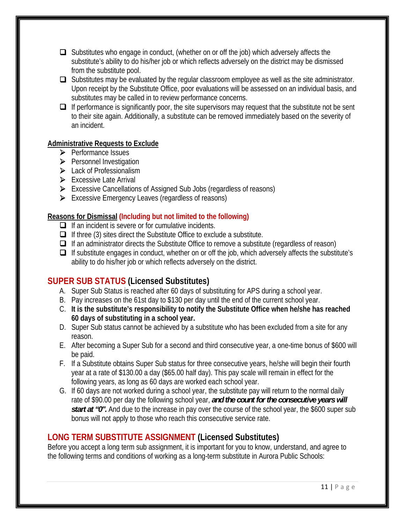- $\Box$  Substitutes who engage in conduct, (whether on or off the job) which adversely affects the substitute's ability to do his/her job or which reflects adversely on the district may be dismissed from the substitute pool.
- $\Box$  Substitutes may be evaluated by the regular classroom employee as well as the site administrator. Upon receipt by the Substitute Office, poor evaluations will be assessed on an individual basis, and substitutes may be called in to review performance concerns.
- $\Box$  If performance is significantly poor, the site supervisors may request that the substitute not be sent to their site again. Additionally, a substitute can be removed immediately based on the severity of an incident.

#### **Administrative Requests to Exclude**

- ¾ Performance Issues
- ¾ Personnel Investigation
- ▶ Lack of Professionalism
- $\triangleright$  Excessive Late Arrival
- ¾ Excessive Cancellations of Assigned Sub Jobs (regardless of reasons)
- ¾ Excessive Emergency Leaves (regardless of reasons)

#### **Reasons for Dismissal (Including but not limited to the following)**

- $\Box$  If an incident is severe or for cumulative incidents.
- $\Box$  If three (3) sites direct the Substitute Office to exclude a substitute.
- $\Box$  If an administrator directs the Substitute Office to remove a substitute (regardless of reason)
- $\Box$  If substitute engages in conduct, whether on or off the job, which adversely affects the substitute's ability to do his/her job or which reflects adversely on the district.

#### **SUPER SUB STATUS (Licensed Substitutes)**

- A. Super Sub Status is reached after 60 days of substituting for APS during a school year.
- B. Pay increases on the 61st day to \$130 per day until the end of the current school year.
- C. **It is the substitute's responsibility to notify the Substitute Office when he/she has reached 60 days of substituting in a school year.**
- D. Super Sub status cannot be achieved by a substitute who has been excluded from a site for any reason.
- E. After becoming a Super Sub for a second and third consecutive year, a one-time bonus of \$600 will be paid.
- F. If a Substitute obtains Super Sub status for three consecutive years, he/she will begin their fourth year at a rate of \$130.00 a day (\$65.00 half day). This pay scale will remain in effect for the following years, as long as 60 days are worked each school year.
- G. If 60 days are not worked during a school year, the substitute pay will return to the normal daily rate of \$90.00 per day the following school year, *and the count for the consecutive years will start at "0".* And due to the increase in pay over the course of the school year, the \$600 super sub bonus will not apply to those who reach this consecutive service rate.

#### **LONG TERM SUBSTITUTE ASSIGNMENT (Licensed Substitutes)**

Before you accept a long term sub assignment, it is important for you to know, understand, and agree to the following terms and conditions of working as a long-term substitute in Aurora Public Schools: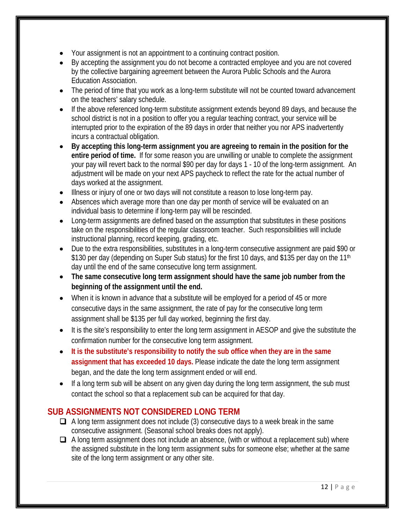- Your assignment is not an appointment to a continuing contract position.
- By accepting the assignment you do not become a contracted employee and you are not covered by the collective bargaining agreement between the Aurora Public Schools and the Aurora Education Association.
- The period of time that you work as a long-term substitute will not be counted toward advancement on the teachers' salary schedule.
- If the above referenced long-term substitute assignment extends beyond 89 days, and because the school district is not in a position to offer you a regular teaching contract, your service will be interrupted prior to the expiration of the 89 days in order that neither you nor APS inadvertently incurs a contractual obligation.
- **By accepting this long-term assignment you are agreeing to remain in the position for the entire period of time.** If for some reason you are unwilling or unable to complete the assignment your pay will revert back to the normal \$90 per day for days 1 - 10 of the long-term assignment. An adjustment will be made on your next APS paycheck to reflect the rate for the actual number of days worked at the assignment.
- Illness or injury of one or two days will not constitute a reason to lose long-term pay.
- Absences which average more than one day per month of service will be evaluated on an individual basis to determine if long-term pay will be rescinded.
- Long-term assignments are defined based on the assumption that substitutes in these positions take on the responsibilities of the regular classroom teacher. Such responsibilities will include instructional planning, record keeping, grading, etc.
- Due to the extra responsibilities, substitutes in a long-term consecutive assignment are paid \$90 or \$130 per day (depending on Super Sub status) for the first 10 days, and \$135 per day on the 11<sup>th</sup> day until the end of the same consecutive long term assignment.
- **The same consecutive long term assignment should have the same job number from the beginning of the assignment until the end.**
- When it is known in advance that a substitute will be employed for a period of 45 or more consecutive days in the same assignment, the rate of pay for the consecutive long term assignment shall be \$135 per full day worked, beginning the first day.
- It is the site's responsibility to enter the long term assignment in AESOP and give the substitute the confirmation number for the consecutive long term assignment.
- **It is the substitute's responsibility to notify the sub office when they are in the same assignment that has exceeded 10 days.** Please indicate the date the long term assignment began, and the date the long term assignment ended or will end.
- If a long term sub will be absent on any given day during the long term assignment, the sub must contact the school so that a replacement sub can be acquired for that day.

#### **SUB ASSIGNMENTS NOT CONSIDERED LONG TERM**

- $\Box$  A long term assignment does not include (3) consecutive days to a week break in the same consecutive assignment. (Seasonal school breaks does not apply).
- $\Box$  A long term assignment does not include an absence, (with or without a replacement sub) where the assigned substitute in the long term assignment subs for someone else; whether at the same site of the long term assignment or any other site.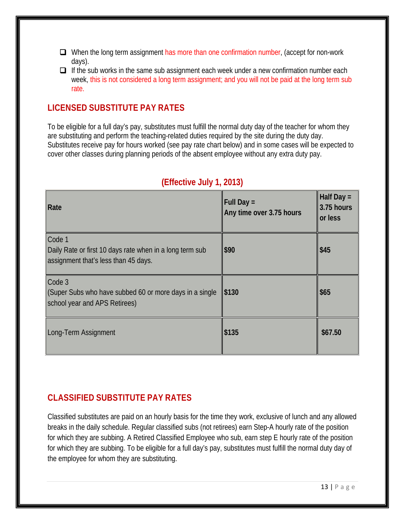- When the long term assignment has more than one confirmation number, (accept for non-work days).
- $\Box$  If the sub works in the same sub assignment each week under a new confirmation number each week, this is not considered a long term assignment; and you will not be paid at the long term sub rate.

#### **LICENSED SUBSTITUTE PAY RATES**

To be eligible for a full day's pay, substitutes must fulfill the normal duty day of the teacher for whom they are substituting and perform the teaching-related duties required by the site during the duty day. Substitutes receive pay for hours worked (see pay rate chart below) and in some cases will be expected to cover other classes during planning periods of the absent employee without any extra duty pay.

| Rate                                                                                                       | <b>Full Day =</b><br>Any time over 3.75 hours | Half Day =<br>3.75 hours<br>or less |
|------------------------------------------------------------------------------------------------------------|-----------------------------------------------|-------------------------------------|
| Code 1<br>Daily Rate or first 10 days rate when in a long term sub<br>assignment that's less than 45 days. | \$90                                          | \$45                                |
| Code 3<br>(Super Subs who have subbed 60 or more days in a single<br>school year and APS Retirees)         | \$130                                         | \$65                                |
| Long-Term Assignment                                                                                       | \$135                                         | \$67.50                             |

#### **(Effective July 1, 2013)**

#### **CLASSIFIED SUBSTITUTE PAY RATES**

Classified substitutes are paid on an hourly basis for the time they work, exclusive of lunch and any allowed breaks in the daily schedule. Regular classified subs (not retirees) earn Step-A hourly rate of the position for which they are subbing. A Retired Classified Employee who sub, earn step E hourly rate of the position for which they are subbing. To be eligible for a full day's pay, substitutes must fulfill the normal duty day of the employee for whom they are substituting.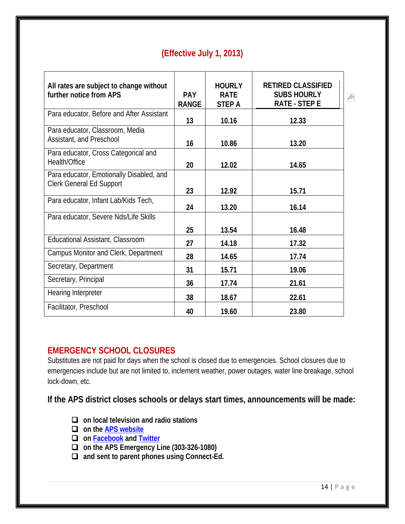| (Effective July 1, 2013) |  |  |
|--------------------------|--|--|
|                          |  |  |
|                          |  |  |

| All rates are subject to change without   |              | <b>HOURLY</b> | <b>RETIRED CLASSIFIED</b> |           |
|-------------------------------------------|--------------|---------------|---------------------------|-----------|
| further notice from APS                   | <b>PAY</b>   | <b>RATE</b>   | <b>SUBS HOURLY</b>        | $\hat{m}$ |
|                                           | <b>RANGE</b> | <b>STEP A</b> | <b>RATE - STEP E</b>      |           |
|                                           |              |               |                           |           |
| Para educator, Before and After Assistant | 13           | 10.16         | 12.33                     |           |
| Para educator, Classroom, Media           |              |               |                           |           |
| Assistant, and Preschool                  | 16           | 10.86         | 13.20                     |           |
| Para educator, Cross Categorical and      |              |               |                           |           |
| Health/Office                             | 20           | 12.02         | 14.65                     |           |
| Para educator, Emotionally Disabled, and  |              |               |                           |           |
| <b>Clerk General Ed Support</b>           |              |               |                           |           |
|                                           | 23           | 12.92         | 15.71                     |           |
| Para educator, Infant Lab/Kids Tech,      |              |               |                           |           |
|                                           | 24           | 13.20         | 16.14                     |           |
| Para educator, Severe Nds/Life Skills     |              |               |                           |           |
|                                           | 25           | 13.54         | 16.48                     |           |
| Educational Assistant, Classroom          | 27           | 14.18         | 17.32                     |           |
| Campus Monitor and Clerk, Department      | 28           | 14.65         | 17.74                     |           |
| Secretary, Department                     | 31           | 15.71         | 19.06                     |           |
| Secretary, Principal                      | 36           | 17.74         | 21.61                     |           |
| Hearing Interpreter                       | 38           | 18.67         | 22.61                     |           |
| Facilitator, Preschool                    | 40           | 19.60         | 23.80                     |           |

#### **EMERGENCY SCHOOL CLOSURES**

Substitutes are not paid for days when the school is closed due to emergencies. School closures due to emergencies include but are not limited to, inclement weather, power outages, water line breakage, school lock-down, etc.

**If the APS district closes schools or delays start times, announcements will be made:**

- **on local television and radio stations**
- **on the [APS website](http://aurorak12.org/)**
- **on [Facebook](http://facebook.com/aurorak12) and [Twitter](http://twitter.com/aurorak12)**
- **on the APS Emergency Line (303-326-1080)**
- **and sent to parent phones using Connect-Ed.**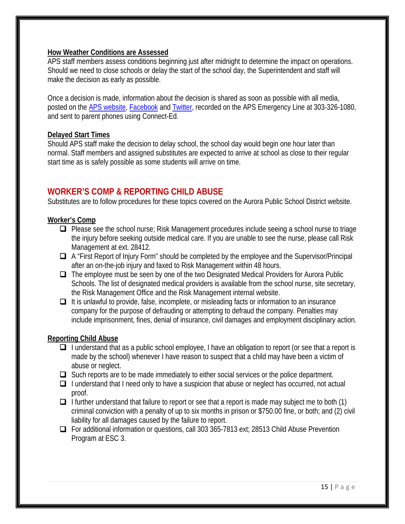#### **How Weather Conditions are Assessed**

APS staff members assess conditions beginning just after midnight to determine the impact on operations. Should we need to close schools or delay the start of the school day, the Superintendent and staff will make the decision as early as possible.

Once a decision is made, information about the decision is shared as soon as possible with all media, posted on the [APS website](http://aurorak12.org/), [Facebook](http://facebook.com/aurorak12) and [Twitter](http://twitter.com/aurorak12), recorded on the APS Emergency Line at 303-326-1080, and sent to parent phones using Connect-Ed.

#### **Delayed Start Times**

Should APS staff make the decision to delay school, the school day would begin one hour later than normal. Staff members and assigned substitutes are expected to arrive at school as close to their regular start time as is safely possible as some students will arrive on time.

#### **WORKER'S COMP & REPORTING CHILD ABUSE**

Substitutes are to follow procedures for these topics covered on the Aurora Public School District website.

#### **Worker's Comp**

- □ Please see the school nurse; Risk Management procedures include seeing a school nurse to triage the injury before seeking outside medical care. If you are unable to see the nurse, please call Risk Management at ext. 28412.
- A "First Report of Injury Form" should be completed by the employee and the Supervisor/Principal after an on-the-job injury and faxed to Risk Management within 48 hours.
- The employee must be seen by one of the two Designated Medical Providers for Aurora Public Schools. The list of designated medical providers is available from the school nurse, site secretary, the Risk Management Office and the Risk Management internal website.
- $\Box$  It is unlawful to provide, false, incomplete, or misleading facts or information to an insurance company for the purpose of defrauding or attempting to defraud the company. Penalties may include imprisonment, fines, denial of insurance, civil damages and employment disciplinary action.

#### **Reporting Child Abuse**

- $\Box$  I understand that as a public school employee, I have an obligation to report (or see that a report is made by the school) whenever I have reason to suspect that a child may have been a victim of abuse or neglect.
- $\Box$  Such reports are to be made immediately to either social services or the police department.
- $\Box$  I understand that I need only to have a suspicion that abuse or neglect has occurred, not actual proof.
- $\Box$  I further understand that failure to report or see that a report is made may subject me to both (1) criminal conviction with a penalty of up to six months in prison or \$750.00 fine, or both; and (2) civil liability for all damages caused by the failure to report.
- For additional information or questions, call 303 365-7813 ext; 28513 Child Abuse Prevention Program at ESC 3.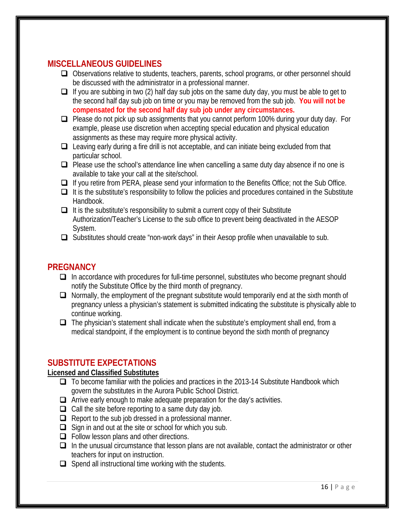#### **MISCELLANEOUS GUIDELINES**

- Observations relative to students, teachers, parents, school programs, or other personnel should be discussed with the administrator in a professional manner.
- $\Box$  If you are subbing in two (2) half day sub jobs on the same duty day, you must be able to get to the second half day sub job on time or you may be removed from the sub job. **You will not be compensated for the second half day sub job under any circumstances.**
- □ Please do not pick up sub assignments that you cannot perform 100% during your duty day. For example, please use discretion when accepting special education and physical education assignments as these may require more physical activity.
- □ Leaving early during a fire drill is not acceptable, and can initiate being excluded from that particular school.
- $\Box$  Please use the school's attendance line when cancelling a same duty day absence if no one is available to take your call at the site/school.
- If you retire from PERA, please send your information to the Benefits Office; not the Sub Office.
- $\Box$  It is the substitute's responsibility to follow the policies and procedures contained in the Substitute Handbook.
- $\Box$  It is the substitute's responsibility to submit a current copy of their Substitute Authorization/Teacher's License to the sub office to prevent being deactivated in the AESOP System.
- Substitutes should create "non-work days" in their Aesop profile when unavailable to sub.

#### **PREGNANCY**

- $\Box$  In accordance with procedures for full-time personnel, substitutes who become pregnant should notify the Substitute Office by the third month of pregnancy.
- $\Box$  Normally, the employment of the pregnant substitute would temporarily end at the sixth month of pregnancy unless a physician's statement is submitted indicating the substitute is physically able to continue working.
- $\Box$  The physician's statement shall indicate when the substitute's employment shall end, from a medical standpoint, if the employment is to continue beyond the sixth month of pregnancy

#### **SUBSTITUTE EXPECTATIONS**

#### **Licensed and Classified Substitutes**

- To become familiar with the policies and practices in the 2013-14 Substitute Handbook which govern the substitutes in the Aurora Public School District.
- $\Box$  Arrive early enough to make adequate preparation for the day's activities.
- $\Box$  Call the site before reporting to a same duty day job.
- $\Box$  Report to the sub job dressed in a professional manner.
- $\Box$  Sign in and out at the site or school for which you sub.
- $\Box$  Follow lesson plans and other directions.
- $\Box$  In the unusual circumstance that lesson plans are not available, contact the administrator or other teachers for input on instruction.
- $\Box$  Spend all instructional time working with the students.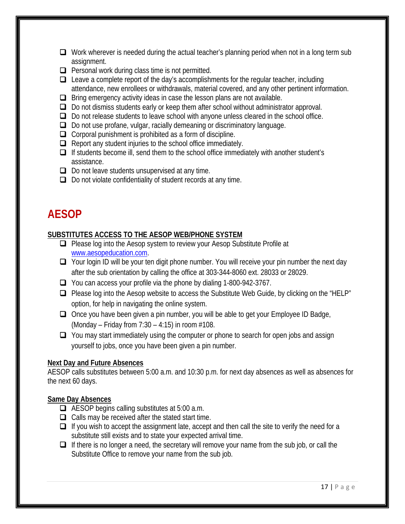- $\Box$  Work wherever is needed during the actual teacher's planning period when not in a long term sub assignment.
- $\Box$  Personal work during class time is not permitted.
- $\Box$  Leave a complete report of the day's accomplishments for the regular teacher, including attendance, new enrollees or withdrawals, material covered, and any other pertinent information.
- $\Box$  Bring emergency activity ideas in case the lesson plans are not available.
- $\Box$  Do not dismiss students early or keep them after school without administrator approval.
- $\Box$  Do not release students to leave school with anyone unless cleared in the school office.
- $\Box$  Do not use profane, vulgar, racially demeaning or discriminatory language.
- $\Box$  Corporal punishment is prohibited as a form of discipline.
- $\Box$  Report any student injuries to the school office immediately.
- $\Box$  If students become ill, send them to the school office immediately with another student's assistance.
- $\Box$  Do not leave students unsupervised at any time.
- $\Box$  Do not violate confidentiality of student records at any time.

### **AESOP**

#### **SUBSTITUTES ACCESS TO THE AESOP WEB/PHONE SYSTEM**

- **Q** Please log into the Aesop system to review your Aesop Substitute Profile at [www.aesopeducation.com.](http://www.aesopeducation.com/)
- □ Your login ID will be your ten digit phone number. You will receive your pin number the next day after the sub orientation by calling the office at 303-344-8060 ext. 28033 or 28029.
- You can access your profile via the phone by dialing 1-800-942-3767.
- □ Please log into the Aesop website to access the Substitute Web Guide, by clicking on the "HELP" option, for help in navigating the online system.
- $\Box$  Once you have been given a pin number, you will be able to get your Employee ID Badge, (Monday – Friday from  $7:30 - 4:15$ ) in room  $#108$ .
- $\Box$  You may start immediately using the computer or phone to search for open jobs and assign yourself to jobs, once you have been given a pin number.

#### **Next Day and Future Absences**

AESOP calls substitutes between 5:00 a.m. and 10:30 p.m. for next day absences as well as absences for the next 60 days.

#### **Same Day Absences**

- AESOP begins calling substitutes at 5:00 a.m.
- $\Box$  Calls may be received after the stated start time.
- $\Box$  If you wish to accept the assignment late, accept and then call the site to verify the need for a substitute still exists and to state your expected arrival time.
- $\Box$  If there is no longer a need, the secretary will remove your name from the sub job, or call the Substitute Office to remove your name from the sub job.